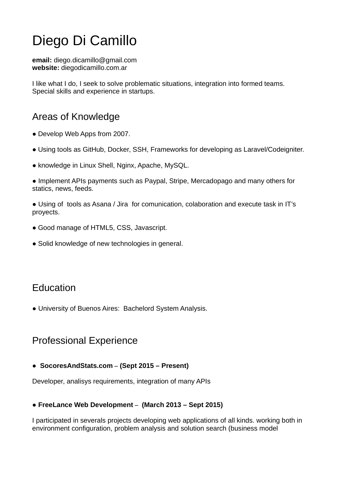# Diego Di Camillo

email: diego.dicamillo@gmail.com website: diegodicamillo.com.ar

I like what I do, I seek to solve problematic situations, integration into formed teams. Special skills and experience in startups.

## Areas of Knowledge

- Develop Web Apps from 2007.
- Using tools as GitHub, Docker, SSH, Frameworks for developing as Laravel/Codeigniter.
- knowledge in Linux Shell, Nginx, Apache, MySQL.

● Implement APIs payments such as Paypal, Stripe, Mercadopago and many others for statics, news, feeds.

● Using of tools as Asana / Jira for comunication, colaboration and execute task in IT's proyects.

- Good manage of HTML5, CSS, Javascript.
- Solid knowledge of new technologies in general.

## Education

● University of Buenos Aires: Bachelord System Analysis.

## Professional Experience

● SocoresAndStats.com – (Sept 2015 – Present)

Developer, analisys requirements, integration of many APIs

#### ● FreeLance Web Development – (March 2013 – Sept 2015)

I participated in severals projects developing web applications of all kinds. working both in environment configuration, problem analysis and solution search (business model